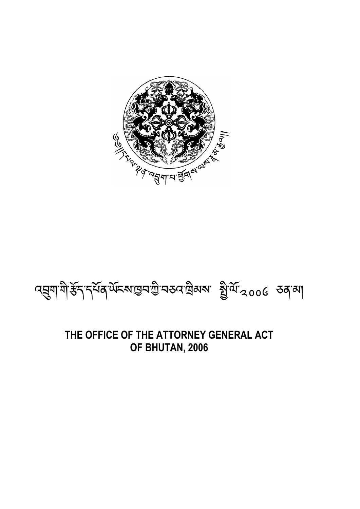# R 2-9-75 97 5 39 5 12 5

# নহ্ৰুণাশী*ই*নি'ৰ্ন্মৰ অঁচৰাজ্ঞৰা উন্নতি বিদ্যালয় জীৱনী

### **THE OFFICE OF THE ATTORNEY GENERAL ACT OF BHUTAN, 2006**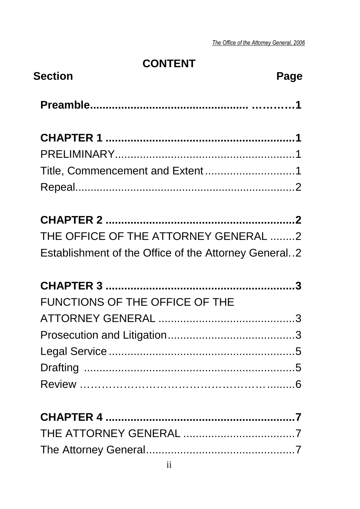### **CONTENT**

| <b>Section</b><br>Page                               |  |
|------------------------------------------------------|--|
|                                                      |  |
|                                                      |  |
|                                                      |  |
| Title, Commencement and Extent1                      |  |
|                                                      |  |
|                                                      |  |
| THE OFFICE OF THE ATTORNEY GENERAL 2                 |  |
| Establishment of the Office of the Attorney General2 |  |
|                                                      |  |
| <b>FUNCTIONS OF THE OFFICE OF THE</b>                |  |
|                                                      |  |
|                                                      |  |
|                                                      |  |
|                                                      |  |
|                                                      |  |
|                                                      |  |
|                                                      |  |
|                                                      |  |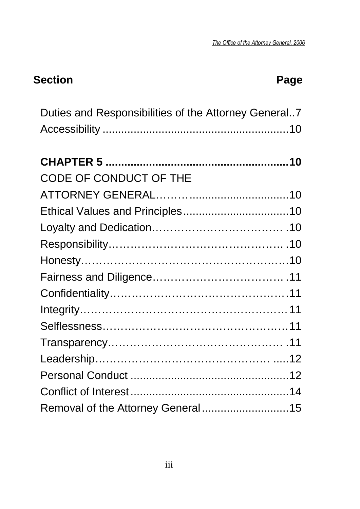### **Section Page 2018**

| Duties and Responsibilities of the Attorney General7 |
|------------------------------------------------------|
|                                                      |
|                                                      |
|                                                      |
| CODE OF CONDUCT OF THE                               |
|                                                      |
|                                                      |
|                                                      |
|                                                      |
|                                                      |
|                                                      |
|                                                      |
|                                                      |
|                                                      |
|                                                      |
|                                                      |
|                                                      |
|                                                      |
| Removal of the Attorney General15                    |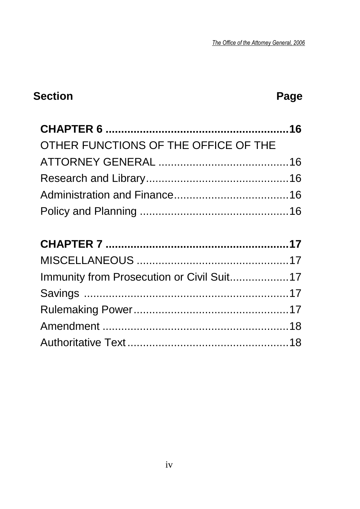# Section **Page Page**

| OTHER FUNCTIONS OF THE OFFICE OF THE      |  |
|-------------------------------------------|--|
|                                           |  |
|                                           |  |
|                                           |  |
|                                           |  |
|                                           |  |
|                                           |  |
|                                           |  |
|                                           |  |
| Immunity from Prosecution or Civil Suit17 |  |
|                                           |  |
|                                           |  |
|                                           |  |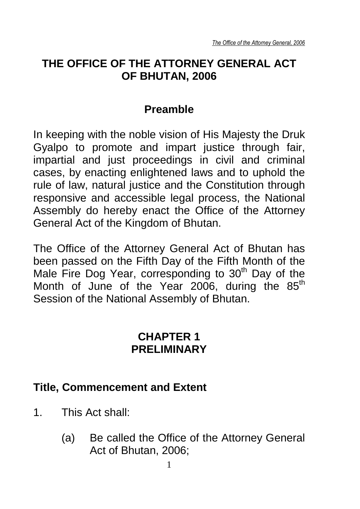### **THE OFFICE OF THE ATTORNEY GENERAL ACT OF BHUTAN, 2006**

### **Preamble**

In keeping with the noble vision of His Majesty the Druk Gyalpo to promote and impart justice through fair, impartial and just proceedings in civil and criminal cases, by enacting enlightened laws and to uphold the rule of law, natural justice and the Constitution through responsive and accessible legal process, the National Assembly do hereby enact the Office of the Attorney General Act of the Kingdom of Bhutan.

The Office of the Attorney General Act of Bhutan has been passed on the Fifth Day of the Fifth Month of the Male Fire Dog Year, corresponding to  $30<sup>th</sup>$  Day of the Month of June of the Year 2006, during the  $85<sup>th</sup>$ Session of the National Assembly of Bhutan.

### **CHAPTER 1 PRELIMINARY**

### **Title, Commencement and Extent**

- 1. This Act shall:
	- (a) Be called the Office of the Attorney General Act of Bhutan, 2006;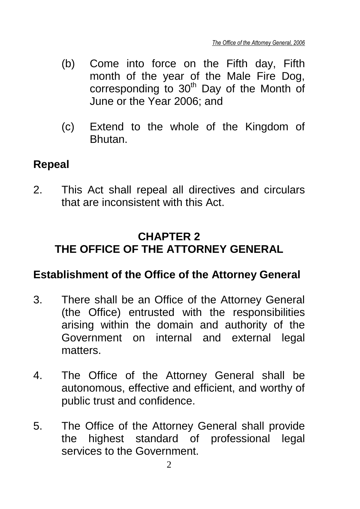- (b) Come into force on the Fifth day, Fifth month of the year of the Male Fire Dog, corresponding to  $30<sup>th</sup>$  Day of the Month of June or the Year 2006; and
- (c) Extend to the whole of the Kingdom of **Bhutan**

### **Repeal**

2. This Act shall repeal all directives and circulars that are inconsistent with this Act.

### **CHAPTER 2 THE OFFICE OF THE ATTORNEY GENERAL**

### **Establishment of the Office of the Attorney General**

- 3. There shall be an Office of the Attorney General (the Office) entrusted with the responsibilities arising within the domain and authority of the Government on internal and external legal matters.
- 4. The Office of the Attorney General shall be autonomous, effective and efficient, and worthy of public trust and confidence.
- 5. The Office of the Attorney General shall provide the highest standard of professional legal services to the Government.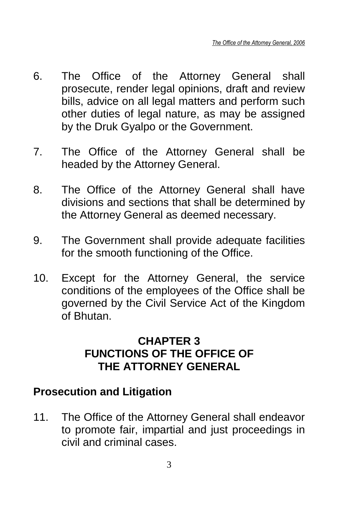- 6. The Office of the Attorney General shall prosecute, render legal opinions, draft and review bills, advice on all legal matters and perform such other duties of legal nature, as may be assigned by the Druk Gyalpo or the Government.
- 7. The Office of the Attorney General shall be headed by the Attorney General.
- 8. The Office of the Attorney General shall have divisions and sections that shall be determined by the Attorney General as deemed necessary.
- 9. The Government shall provide adequate facilities for the smooth functioning of the Office.
- 10. Except for the Attorney General, the service conditions of the employees of the Office shall be governed by the Civil Service Act of the Kingdom of Bhutan.

### **CHAPTER 3 FUNCTIONS OF THE OFFICE OF THE ATTORNEY GENERAL**

### **Prosecution and Litigation**

11. The Office of the Attorney General shall endeavor to promote fair, impartial and just proceedings in civil and criminal cases.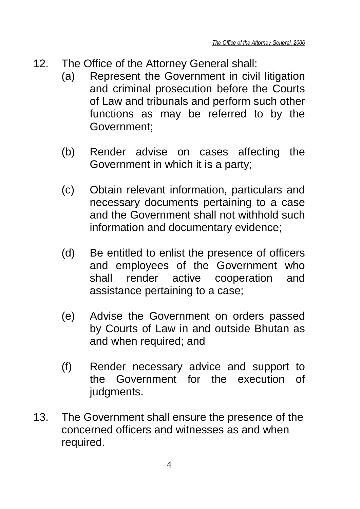- 12. The Office of the Attorney General shall:
	- (a) Represent the Government in civil litigation and criminal prosecution before the Courts of Law and tribunals and perform such other functions as may be referred to by the Government;
	- (b) Render advise on cases affecting the Government in which it is a party;
	- (c) Obtain relevant information, particulars and necessary documents pertaining to a case and the Government shall not withhold such information and documentary evidence;
	- (d) Be entitled to enlist the presence of officers and employees of the Government who shall render active cooperation and assistance pertaining to a case;
	- (e) Advise the Government on orders passed by Courts of Law in and outside Bhutan as and when required; and
	- (f) Render necessary advice and support to the Government for the execution of judgments.
- 13. The Government shall ensure the presence of the concerned officers and witnesses as and when required.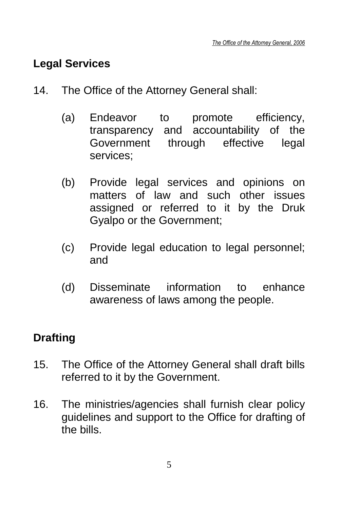### **Legal Services**

- 14. The Office of the Attorney General shall:
	- (a) Endeavor to promote efficiency, transparency and accountability of the Government through effective legal services;
	- (b) Provide legal services and opinions on matters of law and such other issues assigned or referred to it by the Druk Gyalpo or the Government;
	- (c) Provide legal education to legal personnel; and
	- (d) Disseminate information to enhance awareness of laws among the people.

## **Drafting**

- 15. The Office of the Attorney General shall draft bills referred to it by the Government.
- 16. The ministries/agencies shall furnish clear policy guidelines and support to the Office for drafting of the bills.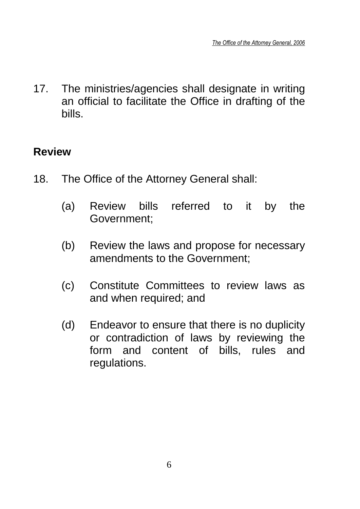17. The ministries/agencies shall designate in writing an official to facilitate the Office in drafting of the bills.

### **Review**

- 18. The Office of the Attorney General shall:
	- (a) Review bills referred to it by the Government;
	- (b) Review the laws and propose for necessary amendments to the Government;
	- (c) Constitute Committees to review laws as and when required; and
	- (d) Endeavor to ensure that there is no duplicity or contradiction of laws by reviewing the form and content of bills, rules and regulations.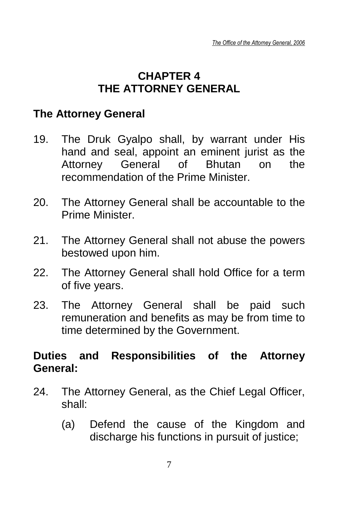### **CHAPTER 4 THE ATTORNEY GENERAL**

### **The Attorney General**

- 19. The Druk Gyalpo shall, by warrant under His hand and seal, appoint an eminent jurist as the Attorney General of Bhutan on the recommendation of the Prime Minister.
- 20. The Attorney General shall be accountable to the Prime Minister.
- 21. The Attorney General shall not abuse the powers bestowed upon him.
- 22. The Attorney General shall hold Office for a term of five years.
- 23. The Attorney General shall be paid such remuneration and benefits as may be from time to time determined by the Government.

### **Duties and Responsibilities of the Attorney General:**

- 24. The Attorney General, as the Chief Legal Officer, shall:
	- (a) Defend the cause of the Kingdom and discharge his functions in pursuit of justice;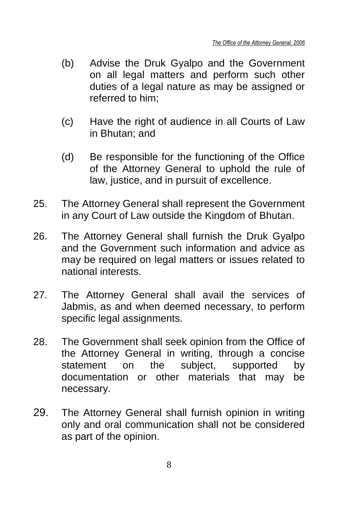- (b) Advise the Druk Gyalpo and the Government on all legal matters and perform such other duties of a legal nature as may be assigned or referred to him;
- (c) Have the right of audience in all Courts of Law in Bhutan; and
- (d) Be responsible for the functioning of the Office of the Attorney General to uphold the rule of law, justice, and in pursuit of excellence.
- 25. The Attorney General shall represent the Government in any Court of Law outside the Kingdom of Bhutan.
- 26. The Attorney General shall furnish the Druk Gyalpo and the Government such information and advice as may be required on legal matters or issues related to national interests.
- 27. The Attorney General shall avail the services of Jabmis, as and when deemed necessary, to perform specific legal assignments.
- 28. The Government shall seek opinion from the Office of the Attorney General in writing, through a concise statement on the subject, supported by documentation or other materials that may be necessary.
- 29. The Attorney General shall furnish opinion in writing only and oral communication shall not be considered as part of the opinion.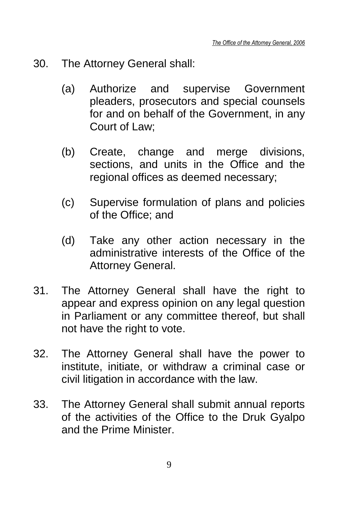- 30. The Attorney General shall:
	- (a) Authorize and supervise Government pleaders, prosecutors and special counsels for and on behalf of the Government, in any Court of Law;
	- (b) Create, change and merge divisions, sections, and units in the Office and the regional offices as deemed necessary;
	- (c) Supervise formulation of plans and policies of the Office; and
	- (d) Take any other action necessary in the administrative interests of the Office of the Attorney General.
- 31. The Attorney General shall have the right to appear and express opinion on any legal question in Parliament or any committee thereof, but shall not have the right to vote.
- 32. The Attorney General shall have the power to institute, initiate, or withdraw a criminal case or civil litigation in accordance with the law.
- 33. The Attorney General shall submit annual reports of the activities of the Office to the Druk Gyalpo and the Prime Minister.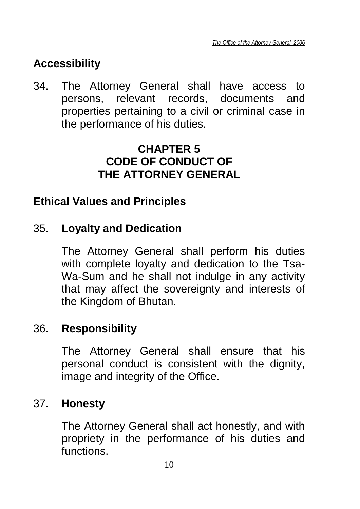## **Accessibility**

34. The Attorney General shall have access to persons, relevant records, documents and properties pertaining to a civil or criminal case in the performance of his duties.

### **CHAPTER 5 CODE OF CONDUCT OF THE ATTORNEY GENERAL**

### **Ethical Values and Principles**

### 35. **Loyalty and Dedication**

The Attorney General shall perform his duties with complete loyalty and dedication to the Tsa-Wa-Sum and he shall not indulge in any activity that may affect the sovereignty and interests of the Kingdom of Bhutan.

### 36. **Responsibility**

The Attorney General shall ensure that his personal conduct is consistent with the dignity, image and integrity of the Office.

### 37. **Honesty**

The Attorney General shall act honestly, and with propriety in the performance of his duties and functions.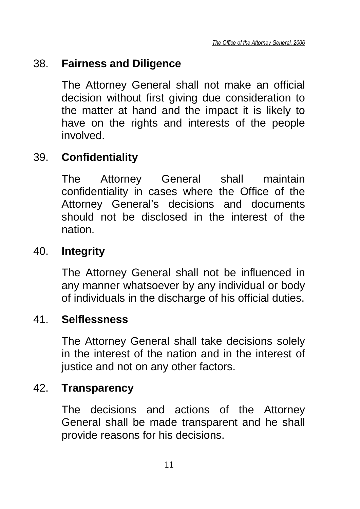### 38. **Fairness and Diligence**

The Attorney General shall not make an official decision without first giving due consideration to the matter at hand and the impact it is likely to have on the rights and interests of the people involved.

### 39. **Confidentiality**

The Attorney General shall maintain confidentiality in cases where the Office of the Attorney General's decisions and documents should not be disclosed in the interest of the nation.

### 40. **Integrity**

The Attorney General shall not be influenced in any manner whatsoever by any individual or body of individuals in the discharge of his official duties.

### 41. **Selflessness**

The Attorney General shall take decisions solely in the interest of the nation and in the interest of justice and not on any other factors.

### 42. **Transparency**

The decisions and actions of the Attorney General shall be made transparent and he shall provide reasons for his decisions.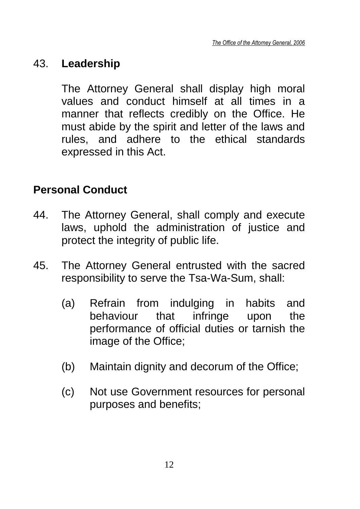### 43. **Leadership**

The Attorney General shall display high moral values and conduct himself at all times in a manner that reflects credibly on the Office. He must abide by the spirit and letter of the laws and rules, and adhere to the ethical standards expressed in this Act.

### **Personal Conduct**

- 44. The Attorney General, shall comply and execute laws, uphold the administration of justice and protect the integrity of public life.
- 45. The Attorney General entrusted with the sacred responsibility to serve the Tsa-Wa-Sum, shall:
	- (a) Refrain from indulging in habits and behaviour that infringe upon the performance of official duties or tarnish the image of the Office;
	- (b) Maintain dignity and decorum of the Office;
	- (c) Not use Government resources for personal purposes and benefits;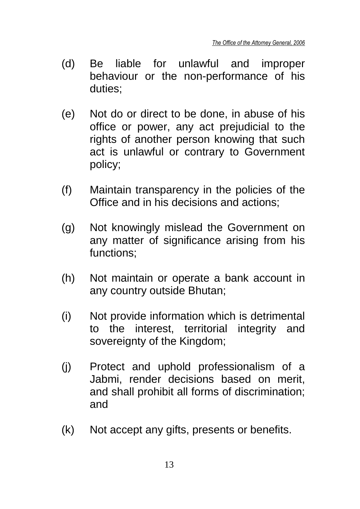- (d) Be liable for unlawful and improper behaviour or the non-performance of his duties;
- (e) Not do or direct to be done, in abuse of his office or power, any act prejudicial to the rights of another person knowing that such act is unlawful or contrary to Government policy;
- (f) Maintain transparency in the policies of the Office and in his decisions and actions;
- (g) Not knowingly mislead the Government on any matter of significance arising from his functions;
- (h) Not maintain or operate a bank account in any country outside Bhutan;
- (i) Not provide information which is detrimental to the interest, territorial integrity and sovereignty of the Kingdom;
- (j) Protect and uphold professionalism of a Jabmi, render decisions based on merit, and shall prohibit all forms of discrimination; and
- (k) Not accept any gifts, presents or benefits.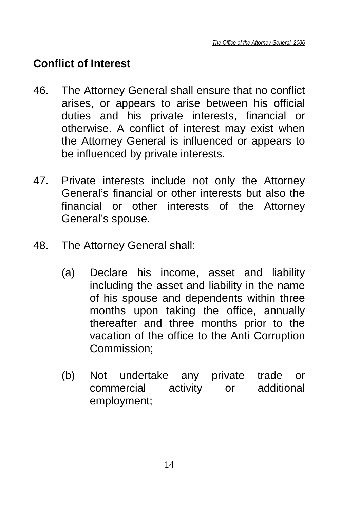### **Conflict of Interest**

- 46. The Attorney General shall ensure that no conflict arises, or appears to arise between his official duties and his private interests, financial or otherwise. A conflict of interest may exist when the Attorney General is influenced or appears to be influenced by private interests.
- 47. Private interests include not only the Attorney General's financial or other interests but also the financial or other interests of the Attorney General's spouse.
- 48. The Attorney General shall:
	- (a) Declare his income, asset and liability including the asset and liability in the name of his spouse and dependents within three months upon taking the office, annually thereafter and three months prior to the vacation of the office to the Anti Corruption Commission;
	- (b) Not undertake any private trade or commercial activity or additional employment;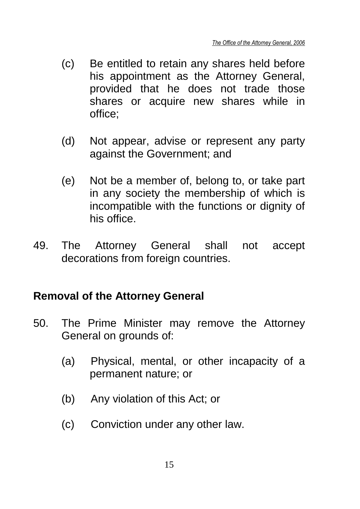- (c) Be entitled to retain any shares held before his appointment as the Attorney General, provided that he does not trade those shares or acquire new shares while in office;
- (d) Not appear, advise or represent any party against the Government; and
- (e) Not be a member of, belong to, or take part in any society the membership of which is incompatible with the functions or dignity of his office.
- 49. The Attorney General shall not accept decorations from foreign countries.

### **Removal of the Attorney General**

- 50. The Prime Minister may remove the Attorney General on grounds of:
	- (a) Physical, mental, or other incapacity of a permanent nature; or
	- (b) Any violation of this Act; or
	- (c) Conviction under any other law.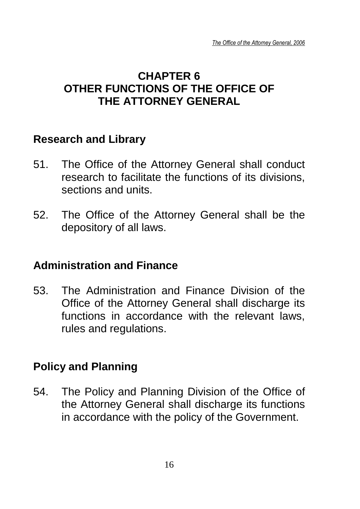### **CHAPTER 6 OTHER FUNCTIONS OF THE OFFICE OF THE ATTORNEY GENERAL**

### **Research and Library**

- 51. The Office of the Attorney General shall conduct research to facilitate the functions of its divisions, sections and units.
- 52. The Office of the Attorney General shall be the depository of all laws.

### **Administration and Finance**

53. The Administration and Finance Division of the Office of the Attorney General shall discharge its functions in accordance with the relevant laws, rules and regulations.

### **Policy and Planning**

54. The Policy and Planning Division of the Office of the Attorney General shall discharge its functions in accordance with the policy of the Government.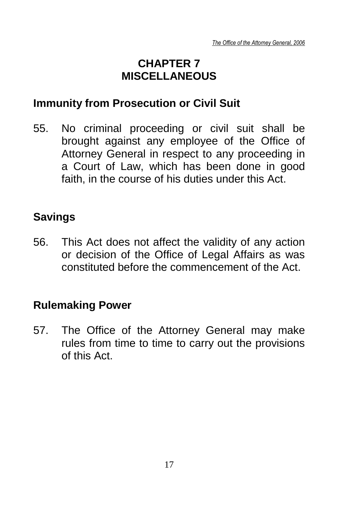### **CHAPTER 7 MISCELLANEOUS**

### **Immunity from Prosecution or Civil Suit**

55. No criminal proceeding or civil suit shall be brought against any employee of the Office of Attorney General in respect to any proceeding in a Court of Law, which has been done in good faith, in the course of his duties under this Act.

### **Savings**

56. This Act does not affect the validity of any action or decision of the Office of Legal Affairs as was constituted before the commencement of the Act.

### **Rulemaking Power**

57. The Office of the Attorney General may make rules from time to time to carry out the provisions of this Act.